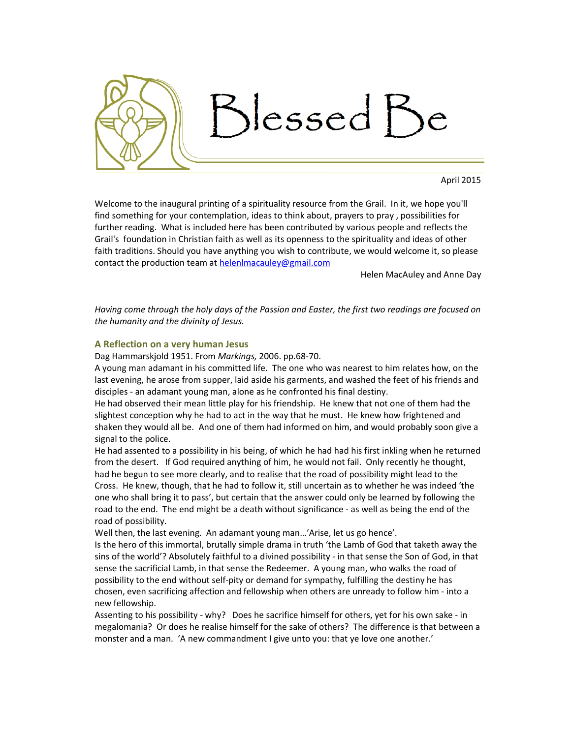

April 2015

Welcome to the inaugural printing of a spirituality resource from the Grail. In it, we hope you'll find something for your contemplation, ideas to think about, prayers to pray , possibilities for further reading. What is included here has been contributed by various people and reflects the Grail's foundation in Christian faith as well as its openness to the spirituality and ideas of other faith traditions. Should you have anything you wish to contribute, we would welcome it, so please contact the production team at helenlmacauley@gmail.com

Helen MacAuley and Anne Day

*Having come through the holy days of the Passion and Easter, the first two readings are focused on the humanity and the divinity of Jesus.* 

#### **A Reflection on a very human Jesus**

Dag Hammarskjold 1951. From *Markings,* 2006. pp.68-70.

A young man adamant in his committed life. The one who was nearest to him relates how, on the last evening, he arose from supper, laid aside his garments, and washed the feet of his friends and disciples - an adamant young man, alone as he confronted his final destiny.

He had observed their mean little play for his friendship. He knew that not one of them had the slightest conception why he had to act in the way that he must. He knew how frightened and shaken they would all be. And one of them had informed on him, and would probably soon give a signal to the police.

He had assented to a possibility in his being, of which he had had his first inkling when he returned from the desert. If God required anything of him, he would not fail. Only recently he thought, had he begun to see more clearly, and to realise that the road of possibility might lead to the Cross. He knew, though, that he had to follow it, still uncertain as to whether he was indeed 'the one who shall bring it to pass', but certain that the answer could only be learned by following the road to the end. The end might be a death without significance - as well as being the end of the road of possibility.

Well then, the last evening. An adamant young man…'Arise, let us go hence'.

Is the hero of this immortal, brutally simple drama in truth 'the Lamb of God that taketh away the sins of the world'? Absolutely faithful to a divined possibility - in that sense the Son of God, in that sense the sacrificial Lamb, in that sense the Redeemer. A young man, who walks the road of possibility to the end without self-pity or demand for sympathy, fulfilling the destiny he has chosen, even sacrificing affection and fellowship when others are unready to follow him - into a new fellowship.

Assenting to his possibility - why? Does he sacrifice himself for others, yet for his own sake - in megalomania? Or does he realise himself for the sake of others? The difference is that between a monster and a man. 'A new commandment I give unto you: that ye love one another.'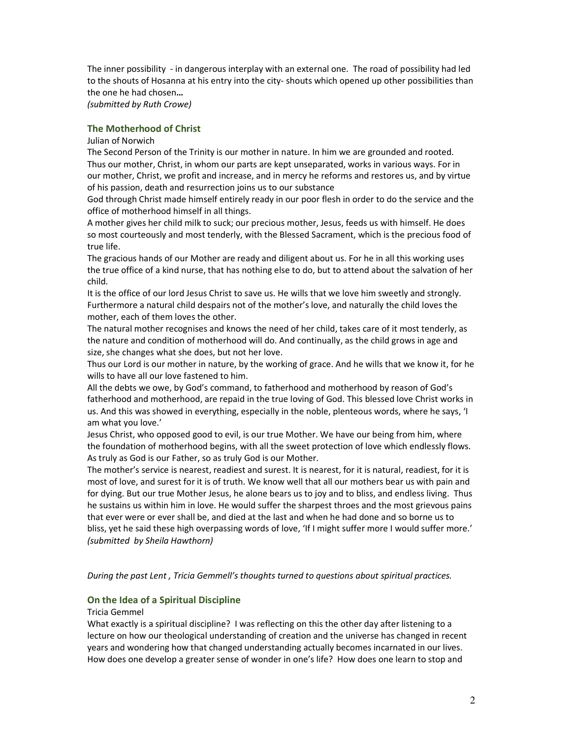The inner possibility - in dangerous interplay with an external one. The road of possibility had led to the shouts of Hosanna at his entry into the city- shouts which opened up other possibilities than the one he had chosen**…** 

*(submitted by Ruth Crowe)* 

# **The Motherhood of Christ**

#### Julian of Norwich

The Second Person of the Trinity is our mother in nature. In him we are grounded and rooted. Thus our mother, Christ, in whom our parts are kept unseparated, works in various ways. For in our mother, Christ, we profit and increase, and in mercy he reforms and restores us, and by virtue of his passion, death and resurrection joins us to our substance

God through Christ made himself entirely ready in our poor flesh in order to do the service and the office of motherhood himself in all things.

A mother gives her child milk to suck; our precious mother, Jesus, feeds us with himself. He does so most courteously and most tenderly, with the Blessed Sacrament, which is the precious food of true life.

The gracious hands of our Mother are ready and diligent about us. For he in all this working uses the true office of a kind nurse, that has nothing else to do, but to attend about the salvation of her child.

It is the office of our lord Jesus Christ to save us. He wills that we love him sweetly and strongly. Furthermore a natural child despairs not of the mother's love, and naturally the child loves the mother, each of them loves the other.

The natural mother recognises and knows the need of her child, takes care of it most tenderly, as the nature and condition of motherhood will do. And continually, as the child grows in age and size, she changes what she does, but not her love.

Thus our Lord is our mother in nature, by the working of grace. And he wills that we know it, for he wills to have all our love fastened to him.

All the debts we owe, by God's command, to fatherhood and motherhood by reason of God's fatherhood and motherhood, are repaid in the true loving of God. This blessed love Christ works in us. And this was showed in everything, especially in the noble, plenteous words, where he says, 'I am what you love.'

Jesus Christ, who opposed good to evil, is our true Mother. We have our being from him, where the foundation of motherhood begins, with all the sweet protection of love which endlessly flows. As truly as God is our Father, so as truly God is our Mother.

The mother's service is nearest, readiest and surest. It is nearest, for it is natural, readiest, for it is most of love, and surest for it is of truth. We know well that all our mothers bear us with pain and for dying. But our true Mother Jesus, he alone bears us to joy and to bliss, and endless living. Thus he sustains us within him in love. He would suffer the sharpest throes and the most grievous pains that ever were or ever shall be, and died at the last and when he had done and so borne us to bliss, yet he said these high overpassing words of love, 'If I might suffer more I would suffer more.' *(submitted by Sheila Hawthorn)* 

*During the past Lent , Tricia Gemmell's thoughts turned to questions about spiritual practices.* 

### **On the Idea of a Spiritual Discipline**

### Tricia Gemmel

What exactly is a spiritual discipline? I was reflecting on this the other day after listening to a lecture on how our theological understanding of creation and the universe has changed in recent years and wondering how that changed understanding actually becomes incarnated in our lives. How does one develop a greater sense of wonder in one's life? How does one learn to stop and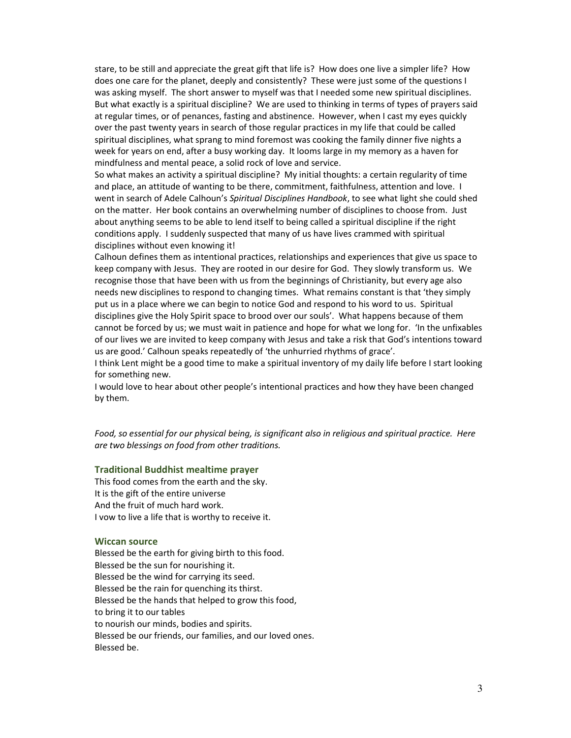stare, to be still and appreciate the great gift that life is? How does one live a simpler life? How does one care for the planet, deeply and consistently? These were just some of the questions I was asking myself. The short answer to myself was that I needed some new spiritual disciplines. But what exactly is a spiritual discipline? We are used to thinking in terms of types of prayers said at regular times, or of penances, fasting and abstinence. However, when I cast my eyes quickly over the past twenty years in search of those regular practices in my life that could be called spiritual disciplines, what sprang to mind foremost was cooking the family dinner five nights a week for years on end, after a busy working day. It looms large in my memory as a haven for mindfulness and mental peace, a solid rock of love and service.

So what makes an activity a spiritual discipline? My initial thoughts: a certain regularity of time and place, an attitude of wanting to be there, commitment, faithfulness, attention and love. I went in search of Adele Calhoun's *Spiritual Disciplines Handbook*, to see what light she could shed on the matter. Her book contains an overwhelming number of disciplines to choose from. Just about anything seems to be able to lend itself to being called a spiritual discipline if the right conditions apply. I suddenly suspected that many of us have lives crammed with spiritual disciplines without even knowing it!

Calhoun defines them as intentional practices, relationships and experiences that give us space to keep company with Jesus. They are rooted in our desire for God. They slowly transform us. We recognise those that have been with us from the beginnings of Christianity, but every age also needs new disciplines to respond to changing times. What remains constant is that 'they simply put us in a place where we can begin to notice God and respond to his word to us. Spiritual disciplines give the Holy Spirit space to brood over our souls'. What happens because of them cannot be forced by us; we must wait in patience and hope for what we long for. 'In the unfixables of our lives we are invited to keep company with Jesus and take a risk that God's intentions toward us are good.' Calhoun speaks repeatedly of 'the unhurried rhythms of grace'.

I think Lent might be a good time to make a spiritual inventory of my daily life before I start looking for something new.

I would love to hear about other people's intentional practices and how they have been changed by them.

*Food, so essential for our physical being, is significant also in religious and spiritual practice. Here are two blessings on food from other traditions.* 

#### **Traditional Buddhist mealtime prayer**

This food comes from the earth and the sky. It is the gift of the entire universe And the fruit of much hard work. I vow to live a life that is worthy to receive it.

#### **Wiccan source**

Blessed be the earth for giving birth to this food. Blessed be the sun for nourishing it. Blessed be the wind for carrying its seed. Blessed be the rain for quenching its thirst. Blessed be the hands that helped to grow this food, to bring it to our tables to nourish our minds, bodies and spirits. Blessed be our friends, our families, and our loved ones. Blessed be.